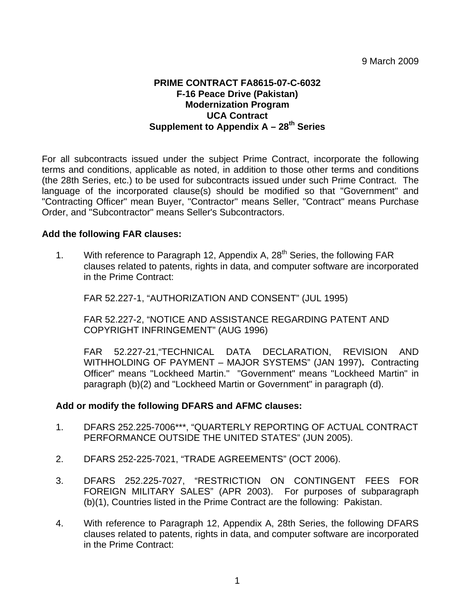## **PRIME CONTRACT FA8615-07-C-6032 F-16 Peace Drive (Pakistan) Modernization Program UCA Contract Supplement to Appendix A - 28<sup>th</sup> Series**

For all subcontracts issued under the subject Prime Contract, incorporate the following terms and conditions, applicable as noted, in addition to those other terms and conditions (the 28th Series, etc.) to be used for subcontracts issued under such Prime Contract. The language of the incorporated clause(s) should be modified so that "Government" and "Contracting Officer" mean Buyer, "Contractor" means Seller, "Contract" means Purchase Order, and "Subcontractor" means Seller's Subcontractors.

## **Add the following FAR clauses:**

1. With reference to Paragraph 12, Appendix A,  $28<sup>th</sup>$  Series, the following FAR clauses related to patents, rights in data, and computer software are incorporated in the Prime Contract:

FAR 52.227-1, "AUTHORIZATION AND CONSENT" (JUL 1995)

FAR 52.227-2, "NOTICE AND ASSISTANCE REGARDING PATENT AND COPYRIGHT INFRINGEMENT" (AUG 1996)

FAR 52.227-21,"TECHNICAL DATA DECLARATION, REVISION AND WITHHOLDING OF PAYMENT – MAJOR SYSTEMS" (JAN 1997)**.** Contracting Officer" means "Lockheed Martin." "Government" means "Lockheed Martin" in paragraph (b)(2) and "Lockheed Martin or Government" in paragraph (d).

## **Add or modify the following DFARS and AFMC clauses:**

- 1. DFARS 252.225-7006\*\*\*, "QUARTERLY REPORTING OF ACTUAL CONTRACT PERFORMANCE OUTSIDE THE UNITED STATES" (JUN 2005).
- 2. DFARS 252-225-7021, "TRADE AGREEMENTS" (OCT 2006).
- 3. DFARS 252.225-7027, "RESTRICTION ON CONTINGENT FEES FOR FOREIGN MILITARY SALES" (APR 2003). For purposes of subparagraph (b)(1), Countries listed in the Prime Contract are the following: Pakistan.
- 4. With reference to Paragraph 12, Appendix A, 28th Series, the following DFARS clauses related to patents, rights in data, and computer software are incorporated in the Prime Contract: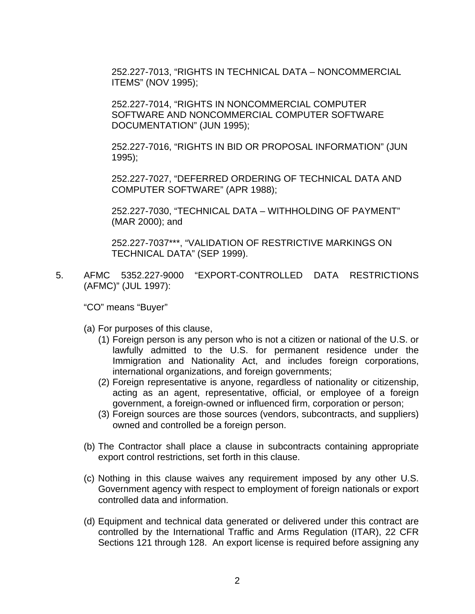252.227-7013, "RIGHTS IN TECHNICAL DATA – NONCOMMERCIAL ITEMS" (NOV 1995);

252.227-7014, "RIGHTS IN NONCOMMERCIAL COMPUTER SOFTWARE AND NONCOMMERCIAL COMPUTER SOFTWARE DOCUMENTATION" (JUN 1995);

252.227-7016, "RIGHTS IN BID OR PROPOSAL INFORMATION" (JUN 1995);

252.227-7027, "DEFERRED ORDERING OF TECHNICAL DATA AND COMPUTER SOFTWARE" (APR 1988);

252.227-7030, "TECHNICAL DATA – WITHHOLDING OF PAYMENT" (MAR 2000); and

252.227-7037\*\*\*, "VALIDATION OF RESTRICTIVE MARKINGS ON TECHNICAL DATA" (SEP 1999).

5. AFMC 5352.227-9000 "EXPORT-CONTROLLED DATA RESTRICTIONS (AFMC)" (JUL 1997):

"CO" means "Buyer"

- (a) For purposes of this clause,
	- (1) Foreign person is any person who is not a citizen or national of the U.S. or lawfully admitted to the U.S. for permanent residence under the Immigration and Nationality Act, and includes foreign corporations, international organizations, and foreign governments;
	- (2) Foreign representative is anyone, regardless of nationality or citizenship, acting as an agent, representative, official, or employee of a foreign government, a foreign-owned or influenced firm, corporation or person;
	- (3) Foreign sources are those sources (vendors, subcontracts, and suppliers) owned and controlled be a foreign person.
- (b) The Contractor shall place a clause in subcontracts containing appropriate export control restrictions, set forth in this clause.
- (c) Nothing in this clause waives any requirement imposed by any other U.S. Government agency with respect to employment of foreign nationals or export controlled data and information.
- (d) Equipment and technical data generated or delivered under this contract are controlled by the International Traffic and Arms Regulation (ITAR), 22 CFR Sections 121 through 128. An export license is required before assigning any